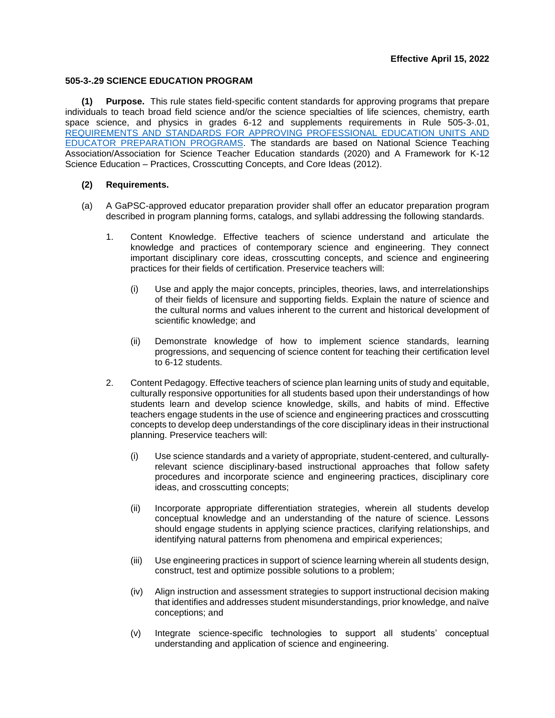## **505-3-.29 SCIENCE EDUCATION PROGRAM**

**(1) Purpose.** This rule states field-specific content standards for approving programs that prepare individuals to teach broad field science and/or the science specialties of life sciences, chemistry, earth space science, and physics in grades 6-12 and supplements requirements in Rule 505-3-.01, [REQUIREMENTS AND STANDARDS FOR APPROVING PROFESSIONAL EDUCATION UNITS AND](https://www.gapsc.com/Rules/Current/EducatorPreparation/505-3-.01.pdf?dt=%3C%25#Eval()  [EDUCATOR PREPARATION PROGRAMS.](https://www.gapsc.com/Rules/Current/EducatorPreparation/505-3-.01.pdf?dt=%3C%25#Eval() The standards are based on National Science Teaching Association/Association for Science Teacher Education standards (2020) and A Framework for K-12 Science Education – Practices, Crosscutting Concepts, and Core Ideas (2012).

## **(2) Requirements.**

- (a) A GaPSC-approved educator preparation provider shall offer an educator preparation program described in program planning forms, catalogs, and syllabi addressing the following standards.
	- 1. Content Knowledge. Effective teachers of science understand and articulate the knowledge and practices of contemporary science and engineering. They connect important disciplinary core ideas, crosscutting concepts, and science and engineering practices for their fields of certification. Preservice teachers will:
		- (i) Use and apply the major concepts, principles, theories, laws, and interrelationships of their fields of licensure and supporting fields. Explain the nature of science and the cultural norms and values inherent to the current and historical development of scientific knowledge; and
		- (ii) Demonstrate knowledge of how to implement science standards, learning progressions, and sequencing of science content for teaching their certification level to 6-12 students.
	- 2. Content Pedagogy. Effective teachers of science plan learning units of study and equitable, culturally responsive opportunities for all students based upon their understandings of how students learn and develop science knowledge, skills, and habits of mind. Effective teachers engage students in the use of science and engineering practices and crosscutting concepts to develop deep understandings of the core disciplinary ideas in their instructional planning. Preservice teachers will:
		- (i) Use science standards and a variety of appropriate, student-centered, and culturallyrelevant science disciplinary-based instructional approaches that follow safety procedures and incorporate science and engineering practices, disciplinary core ideas, and crosscutting concepts;
		- (ii) Incorporate appropriate differentiation strategies, wherein all students develop conceptual knowledge and an understanding of the nature of science. Lessons should engage students in applying science practices, clarifying relationships, and identifying natural patterns from phenomena and empirical experiences;
		- (iii) Use engineering practices in support of science learning wherein all students design, construct, test and optimize possible solutions to a problem;
		- (iv) Align instruction and assessment strategies to support instructional decision making that identifies and addresses student misunderstandings, prior knowledge, and naïve conceptions; and
		- (v) Integrate science-specific technologies to support all students' conceptual understanding and application of science and engineering.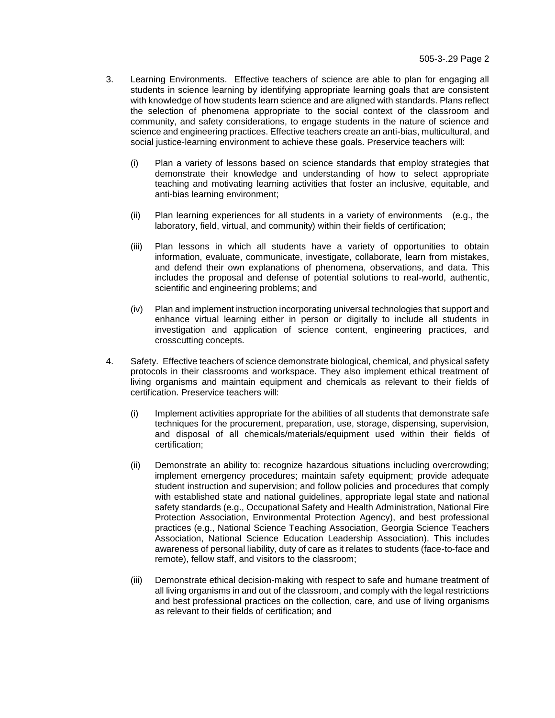- 3. Learning Environments. Effective teachers of science are able to plan for engaging all students in science learning by identifying appropriate learning goals that are consistent with knowledge of how students learn science and are aligned with standards. Plans reflect the selection of phenomena appropriate to the social context of the classroom and community, and safety considerations, to engage students in the nature of science and science and engineering practices. Effective teachers create an anti-bias, multicultural, and social justice-learning environment to achieve these goals. Preservice teachers will:
	- (i) Plan a variety of lessons based on science standards that employ strategies that demonstrate their knowledge and understanding of how to select appropriate teaching and motivating learning activities that foster an inclusive, equitable, and anti-bias learning environment;
	- (ii) Plan learning experiences for all students in a variety of environments (e.g., the laboratory, field, virtual, and community) within their fields of certification;
	- (iii) Plan lessons in which all students have a variety of opportunities to obtain information, evaluate, communicate, investigate, collaborate, learn from mistakes, and defend their own explanations of phenomena, observations, and data. This includes the proposal and defense of potential solutions to real-world, authentic, scientific and engineering problems; and
	- (iv) Plan and implement instruction incorporating universal technologies that support and enhance virtual learning either in person or digitally to include all students in investigation and application of science content, engineering practices, and crosscutting concepts.
- 4. Safety. Effective teachers of science demonstrate biological, chemical, and physical safety protocols in their classrooms and workspace. They also implement ethical treatment of living organisms and maintain equipment and chemicals as relevant to their fields of certification. Preservice teachers will:
	- (i) Implement activities appropriate for the abilities of all students that demonstrate safe techniques for the procurement, preparation, use, storage, dispensing, supervision, and disposal of all chemicals/materials/equipment used within their fields of certification;
	- (ii) Demonstrate an ability to: recognize hazardous situations including overcrowding; implement emergency procedures; maintain safety equipment; provide adequate student instruction and supervision; and follow policies and procedures that comply with established state and national guidelines, appropriate legal state and national safety standards (e.g., Occupational Safety and Health Administration, National Fire Protection Association, Environmental Protection Agency), and best professional practices (e.g., National Science Teaching Association, Georgia Science Teachers Association, National Science Education Leadership Association). This includes awareness of personal liability, duty of care as it relates to students (face-to-face and remote), fellow staff, and visitors to the classroom;
	- (iii) Demonstrate ethical decision-making with respect to safe and humane treatment of all living organisms in and out of the classroom, and comply with the legal restrictions and best professional practices on the collection, care, and use of living organisms as relevant to their fields of certification; and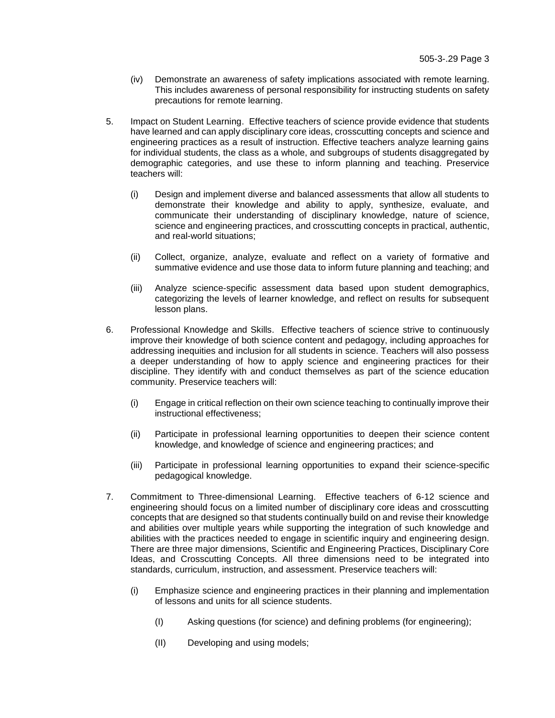- (iv) Demonstrate an awareness of safety implications associated with remote learning. This includes awareness of personal responsibility for instructing students on safety precautions for remote learning.
- 5. Impact on Student Learning. Effective teachers of science provide evidence that students have learned and can apply disciplinary core ideas, crosscutting concepts and science and engineering practices as a result of instruction. Effective teachers analyze learning gains for individual students, the class as a whole, and subgroups of students disaggregated by demographic categories, and use these to inform planning and teaching. Preservice teachers will:
	- (i) Design and implement diverse and balanced assessments that allow all students to demonstrate their knowledge and ability to apply, synthesize, evaluate, and communicate their understanding of disciplinary knowledge, nature of science, science and engineering practices, and crosscutting concepts in practical, authentic, and real-world situations;
	- (ii) Collect, organize, analyze, evaluate and reflect on a variety of formative and summative evidence and use those data to inform future planning and teaching; and
	- (iii) Analyze science-specific assessment data based upon student demographics, categorizing the levels of learner knowledge, and reflect on results for subsequent lesson plans.
- 6. Professional Knowledge and Skills. Effective teachers of science strive to continuously improve their knowledge of both science content and pedagogy, including approaches for addressing inequities and inclusion for all students in science. Teachers will also possess a deeper understanding of how to apply science and engineering practices for their discipline. They identify with and conduct themselves as part of the science education community. Preservice teachers will:
	- (i) Engage in critical reflection on their own science teaching to continually improve their instructional effectiveness;
	- (ii) Participate in professional learning opportunities to deepen their science content knowledge, and knowledge of science and engineering practices; and
	- (iii) Participate in professional learning opportunities to expand their science-specific pedagogical knowledge.
- 7. Commitment to Three-dimensional Learning. Effective teachers of 6-12 science and engineering should focus on a limited number of disciplinary core ideas and crosscutting concepts that are designed so that students continually build on and revise their knowledge and abilities over multiple years while supporting the integration of such knowledge and abilities with the practices needed to engage in scientific inquiry and engineering design. There are three major dimensions, Scientific and Engineering Practices, Disciplinary Core Ideas, and Crosscutting Concepts. All three dimensions need to be integrated into standards, curriculum, instruction, and assessment. Preservice teachers will:
	- (i) Emphasize science and engineering practices in their planning and implementation of lessons and units for all science students.
		- (I) Asking questions (for science) and defining problems (for engineering);
		- (II) Developing and using models;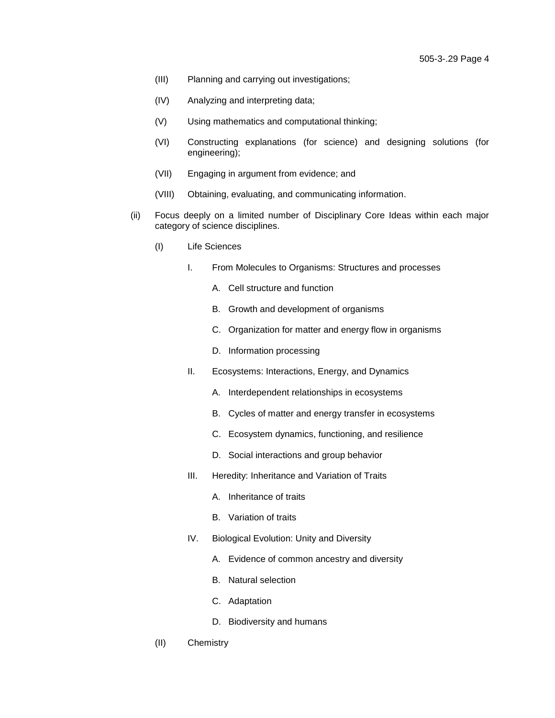- (III) Planning and carrying out investigations;
- (IV) Analyzing and interpreting data;
- (V) Using mathematics and computational thinking;
- (VI) Constructing explanations (for science) and designing solutions (for engineering);
- (VII) Engaging in argument from evidence; and
- (VIII) Obtaining, evaluating, and communicating information.
- (ii) Focus deeply on a limited number of Disciplinary Core Ideas within each major category of science disciplines.
	- (I) Life Sciences
		- I. From Molecules to Organisms: Structures and processes
			- A. Cell structure and function
			- B. Growth and development of organisms
			- C. Organization for matter and energy flow in organisms
			- D. Information processing
		- II. Ecosystems: Interactions, Energy, and Dynamics
			- A. Interdependent relationships in ecosystems
			- B. Cycles of matter and energy transfer in ecosystems
			- C. Ecosystem dynamics, functioning, and resilience
			- D. Social interactions and group behavior
		- III. Heredity: Inheritance and Variation of Traits
			- A. Inheritance of traits
			- B. Variation of traits
		- IV. Biological Evolution: Unity and Diversity
			- A. Evidence of common ancestry and diversity
			- B. Natural selection
			- C. Adaptation
			- D. Biodiversity and humans
	- (II) Chemistry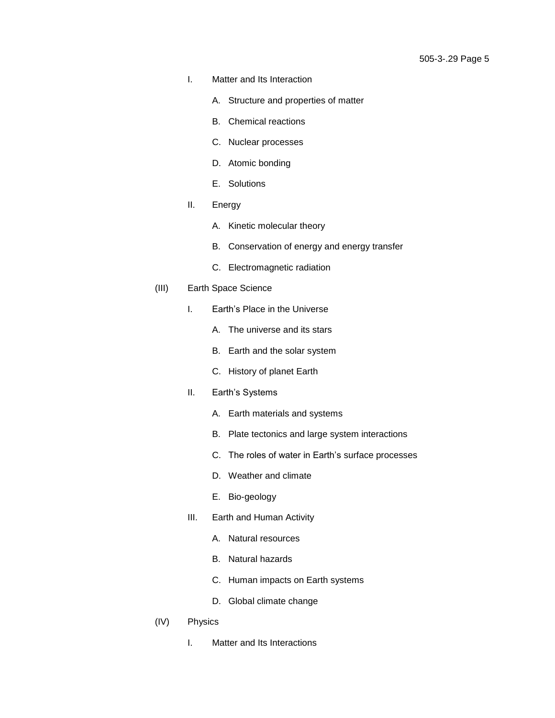- I. Matter and Its Interaction
	- A. Structure and properties of matter
	- B. Chemical reactions
	- C. Nuclear processes
	- D. Atomic bonding
	- E. Solutions
- II. Energy
	- A. Kinetic molecular theory
	- B. Conservation of energy and energy transfer
	- C. Electromagnetic radiation
- (III) Earth Space Science
	- I. Earth's Place in the Universe
		- A. The universe and its stars
		- B. Earth and the solar system
		- C. History of planet Earth
	- II. Earth's Systems
		- A. Earth materials and systems
		- B. Plate tectonics and large system interactions
		- C. The roles of water in Earth's surface processes
		- D. Weather and climate
		- E. Bio-geology
	- III. Earth and Human Activity
		- A. Natural resources
		- B. Natural hazards
		- C. Human impacts on Earth systems
		- D. Global climate change
- (IV) Physics
	- I. Matter and Its Interactions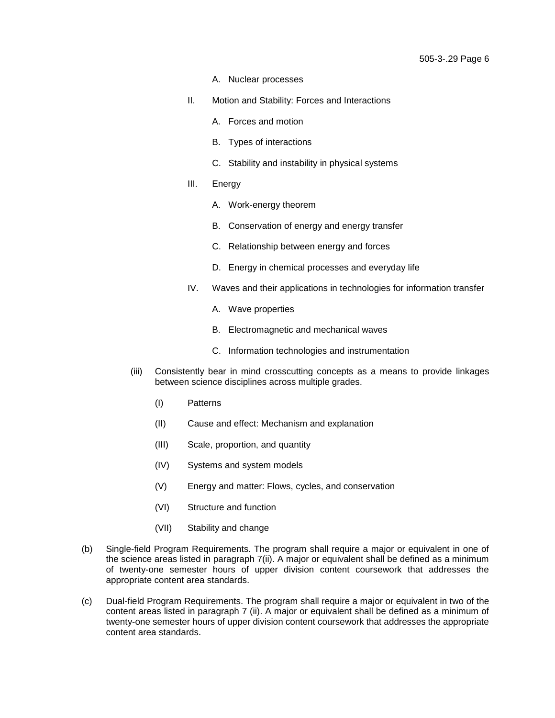- A. Nuclear processes
- II. Motion and Stability: Forces and Interactions
	- A. Forces and motion
	- B. Types of interactions
	- C. Stability and instability in physical systems
- III. Energy
	- A. Work-energy theorem
	- B. Conservation of energy and energy transfer
	- C. Relationship between energy and forces
	- D. Energy in chemical processes and everyday life
- IV. Waves and their applications in technologies for information transfer
	- A. Wave properties
	- B. Electromagnetic and mechanical waves
	- C. Information technologies and instrumentation
- (iii) Consistently bear in mind crosscutting concepts as a means to provide linkages between science disciplines across multiple grades.
	- (I) Patterns
	- (II) Cause and effect: Mechanism and explanation
	- (III) Scale, proportion, and quantity
	- (IV) Systems and system models
	- (V) Energy and matter: Flows, cycles, and conservation
	- (VI) Structure and function
	- (VII) Stability and change
- (b) Single-field Program Requirements. The program shall require a major or equivalent in one of the science areas listed in paragraph 7(ii). A major or equivalent shall be defined as a minimum of twenty-one semester hours of upper division content coursework that addresses the appropriate content area standards.
- (c) Dual-field Program Requirements. The program shall require a major or equivalent in two of the content areas listed in paragraph 7 (ii). A major or equivalent shall be defined as a minimum of twenty-one semester hours of upper division content coursework that addresses the appropriate content area standards.